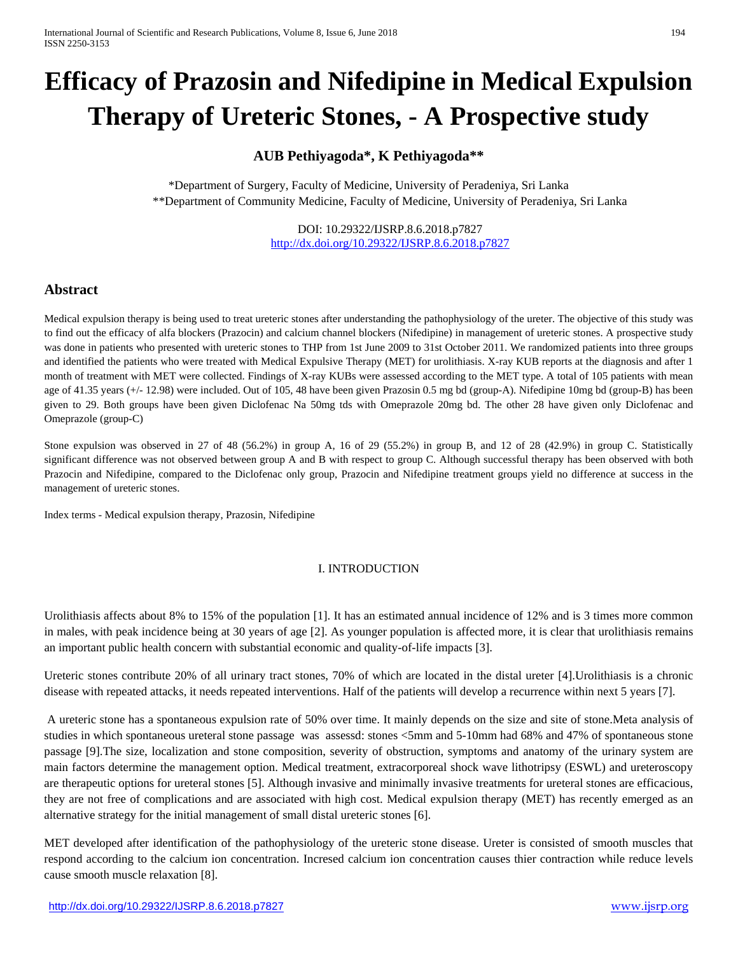# **Efficacy of Prazosin and Nifedipine in Medical Expulsion Therapy of Ureteric Stones, - A Prospective study**

## **AUB Pethiyagoda\*, K Pethiyagoda\*\***

\*Department of Surgery, Faculty of Medicine, University of Peradeniya, Sri Lanka \*\*Department of Community Medicine, Faculty of Medicine, University of Peradeniya, Sri Lanka

> DOI: 10.29322/IJSRP.8.6.2018.p7827 <http://dx.doi.org/10.29322/IJSRP.8.6.2018.p7827>

## **Abstract**

Medical expulsion therapy is being used to treat ureteric stones after understanding the pathophysiology of the ureter. The objective of this study was to find out the efficacy of alfa blockers (Prazocin) and calcium channel blockers (Nifedipine) in management of ureteric stones. A prospective study was done in patients who presented with ureteric stones to THP from 1st June 2009 to 31st October 2011. We randomized patients into three groups and identified the patients who were treated with Medical Expulsive Therapy (MET) for urolithiasis. X-ray KUB reports at the diagnosis and after 1 month of treatment with MET were collected. Findings of X-ray KUBs were assessed according to the MET type. A total of 105 patients with mean age of 41.35 years (+/- 12.98) were included. Out of 105, 48 have been given Prazosin 0.5 mg bd (group-A). Nifedipine 10mg bd (group-B) has been given to 29. Both groups have been given Diclofenac Na 50mg tds with Omeprazole 20mg bd. The other 28 have given only Diclofenac and Omeprazole (group-C)

Stone expulsion was observed in 27 of 48 (56.2%) in group A, 16 of 29 (55.2%) in group B, and 12 of 28 (42.9%) in group C. Statistically significant difference was not observed between group A and B with respect to group C. Although successful therapy has been observed with both Prazocin and Nifedipine, compared to the Diclofenac only group, Prazocin and Nifedipine treatment groups yield no difference at success in the management of ureteric stones.

Index terms - Medical expulsion therapy, Prazosin, Nifedipine

### I. INTRODUCTION

Urolithiasis affects about 8% to 15% of the population [1]. It has an estimated annual incidence of 12% and is 3 times more common in males, with peak incidence being at 30 years of age [2]. As younger population is affected more, it is clear that urolithiasis remains an important public health concern with substantial economic and quality-of-life impacts [3].

Ureteric stones contribute 20% of all urinary tract stones, 70% of which are located in the distal ureter [4].Urolithiasis is a chronic disease with repeated attacks, it needs repeated interventions. Half of the patients will develop a recurrence within next 5 years [7].

A ureteric stone has a spontaneous expulsion rate of 50% over time. It mainly depends on the size and site of stone.Meta analysis of studies in which spontaneous ureteral stone passage was assessd: stones <5mm and 5-10mm had 68% and 47% of spontaneous stone passage [9].The size, localization and stone composition, severity of obstruction, symptoms and anatomy of the urinary system are main factors determine the management option. Medical treatment, extracorporeal shock wave lithotripsy (ESWL) and ureteroscopy are therapeutic options for ureteral stones [5]. Although invasive and minimally invasive treatments for ureteral stones are efficacious, they are not free of complications and are associated with high cost. Medical expulsion therapy (MET) has recently emerged as an alternative strategy for the initial management of small distal ureteric stones [6].

MET developed after identification of the pathophysiology of the ureteric stone disease. Ureter is consisted of smooth muscles that respond according to the calcium ion concentration. Incresed calcium ion concentration causes thier contraction while reduce levels cause smooth muscle relaxation [8].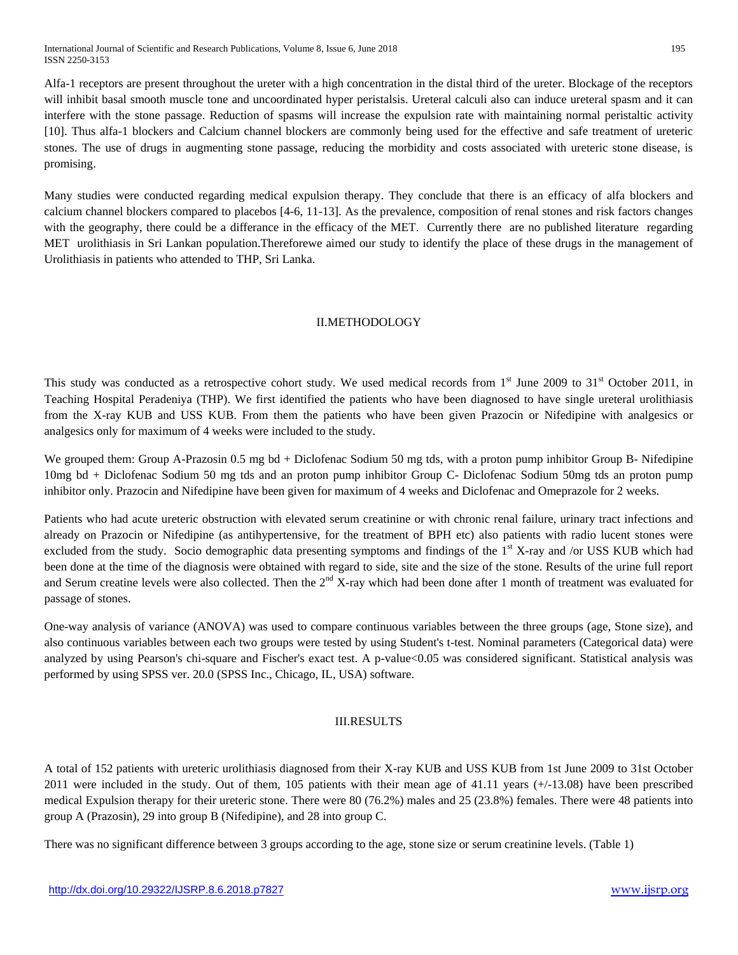International Journal of Scientific and Research Publications, Volume 8, Issue 6, June 2018 195 ISSN 2250-3153

Alfa-1 receptors are present throughout the ureter with a high concentration in the distal third of the ureter. Blockage of the receptors will inhibit basal smooth muscle tone and uncoordinated hyper peristalsis. Ureteral calculi also can induce ureteral spasm and it can interfere with the stone passage. Reduction of spasms will increase the expulsion rate with maintaining normal peristaltic activity [10]. Thus alfa-1 blockers and Calcium channel blockers are commonly being used for the effective and safe treatment of ureteric stones. The use of drugs in augmenting stone passage, reducing the morbidity and costs associated with ureteric stone disease, is promising.

Many studies were conducted regarding medical expulsion therapy. They conclude that there is an efficacy of alfa blockers and calcium channel blockers compared to placebos [4-6, 11-13]. As the prevalence, composition of renal stones and risk factors changes with the geography, there could be a differance in the efficacy of the MET. Currently there are no published literature regarding MET urolithiasis in Sri Lankan population.Thereforewe aimed our study to identify the place of these drugs in the management of Urolithiasis in patients who attended to THP, Sri Lanka.

## II.METHODOLOGY

This study was conducted as a retrospective cohort study. We used medical records from 1<sup>st</sup> June 2009 to 31<sup>st</sup> October 2011, in Teaching Hospital Peradeniya (THP). We first identified the patients who have been diagnosed to have single ureteral urolithiasis from the X-ray KUB and USS KUB. From them the patients who have been given Prazocin or Nifedipine with analgesics or analgesics only for maximum of 4 weeks were included to the study.

We grouped them: Group A-Prazosin 0.5 mg bd + Diclofenac Sodium 50 mg tds, with a proton pump inhibitor Group B- Nifedipine 10mg bd + Diclofenac Sodium 50 mg tds and an proton pump inhibitor Group C- Diclofenac Sodium 50mg tds an proton pump inhibitor only. Prazocin and Nifedipine have been given for maximum of 4 weeks and Diclofenac and Omeprazole for 2 weeks.

Patients who had acute ureteric obstruction with elevated serum creatinine or with chronic renal failure, urinary tract infections and already on Prazocin or Nifedipine (as antihypertensive, for the treatment of BPH etc) also patients with radio lucent stones were excluded from the study. Socio demographic data presenting symptoms and findings of the  $1<sup>st</sup> X$ -ray and /or USS KUB which had been done at the time of the diagnosis were obtained with regard to side, site and the size of the stone. Results of the urine full report and Serum creatine levels were also collected. Then the  $2<sup>nd</sup> X-ray$  which had been done after 1 month of treatment was evaluated for passage of stones.

One-way analysis of variance (ANOVA) was used to compare continuous variables between the three groups (age, Stone size), and also continuous variables between each two groups were tested by using Student's t-test. Nominal parameters (Categorical data) were analyzed by using Pearson's chi-square and Fischer's exact test. A p-value<0.05 was considered significant. Statistical analysis was performed by using SPSS ver. 20.0 (SPSS Inc., Chicago, IL, USA) software.

### III.RESULTS

A total of 152 patients with ureteric urolithiasis diagnosed from their X-ray KUB and USS KUB from 1st June 2009 to 31st October 2011 were included in the study. Out of them, 105 patients with their mean age of 41.11 years (+/-13.08) have been prescribed medical Expulsion therapy for their ureteric stone. There were 80 (76.2%) males and 25 (23.8%) females. There were 48 patients into group A (Prazosin), 29 into group B (Nifedipine), and 28 into group C.

There was no significant difference between 3 groups according to the age, stone size or serum creatinine levels. (Table 1)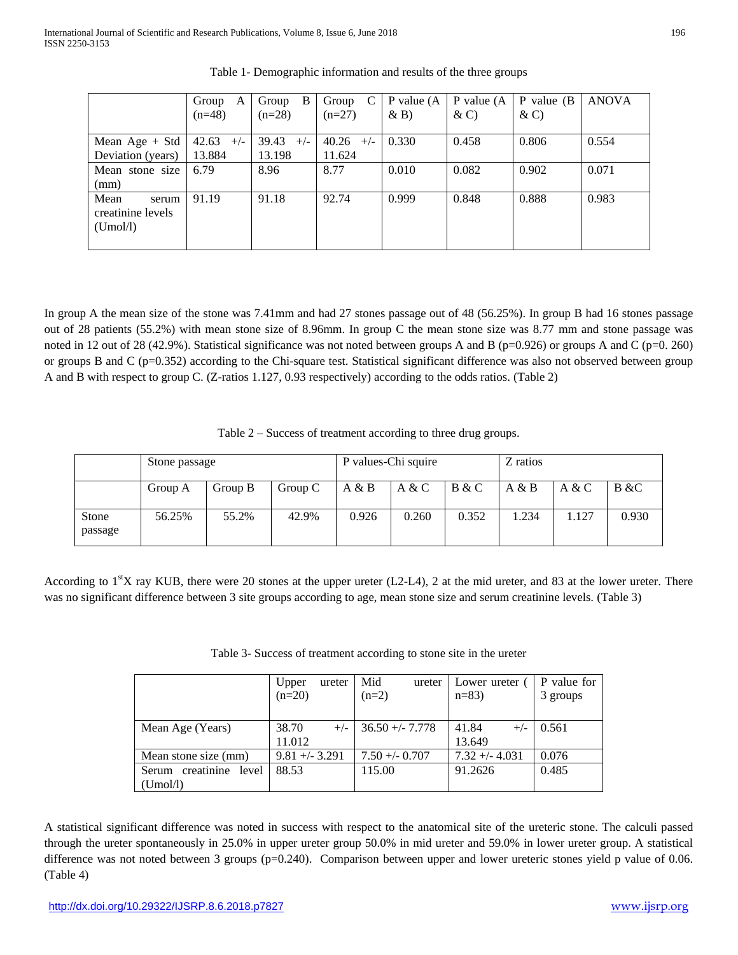|                                                | Group<br>A<br>$(n=48)$   | B<br>Group<br>$(n=28)$   | Group<br>$(n=27)$        | P value $(A)$<br>$\& B)$ | P value $(A)$<br>$\& C)$ | $P$ value (B)<br>$\& C)$ | <b>ANOVA</b> |
|------------------------------------------------|--------------------------|--------------------------|--------------------------|--------------------------|--------------------------|--------------------------|--------------|
| Mean Age $+$ Std<br>Deviation (years)          | 42.63<br>$+/-$<br>13.884 | 39.43<br>$+/-$<br>13.198 | 40.26<br>$+/-$<br>11.624 | 0.330                    | 0.458                    | 0.806                    | 0.554        |
| Mean stone size<br>(mm)                        | 6.79                     | 8.96                     | 8.77                     | 0.010                    | 0.082                    | 0.902                    | 0.071        |
| Mean<br>serum<br>creatinine levels<br>(Umol/l) | 91.19                    | 91.18                    | 92.74                    | 0.999                    | 0.848                    | 0.888                    | 0.983        |

Table 1- Demographic information and results of the three groups

In group A the mean size of the stone was 7.41mm and had 27 stones passage out of 48 (56.25%). In group B had 16 stones passage out of 28 patients (55.2%) with mean stone size of 8.96mm. In group C the mean stone size was 8.77 mm and stone passage was noted in 12 out of 28 (42.9%). Statistical significance was not noted between groups A and B (p=0.926) or groups A and C (p=0.260) or groups B and C (p=0.352) according to the Chi-square test. Statistical significant difference was also not observed between group A and B with respect to group C. (Z-ratios 1.127, 0.93 respectively) according to the odds ratios. (Table 2)

Table 2 – Success of treatment according to three drug groups.

|                  | Stone passage |         |         | P values-Chi squire |       |       | Z ratios |       |       |
|------------------|---------------|---------|---------|---------------------|-------|-------|----------|-------|-------|
|                  | Group A       | Group B | Group C | A & B               | A & C | B & C | A & B    | A & C | B & C |
| Stone<br>passage | 56.25%        | 55.2%   | 42.9%   | 0.926               | 0.260 | 0.352 | 1.234    | 1.127 | 0.930 |

According to  $1<sup>st</sup>X$  ray KUB, there were 20 stones at the upper ureter (L2-L4), 2 at the mid ureter, and 83 at the lower ureter. There was no significant difference between 3 site groups according to age, mean stone size and serum creatinine levels. (Table 3)

|                           | Upper<br>ureter<br>$(n=20)$ | Mid<br>ureter<br>$(n=2)$ | Lower ureter<br>$n=83$   | P value for<br>3 groups |
|---------------------------|-----------------------------|--------------------------|--------------------------|-------------------------|
| Mean Age (Years)          | 38.70<br>$+/-$<br>11.012    | $36.50 + - 7.778$        | 41.84<br>$+/-$<br>13.649 | 0.561                   |
| Mean stone size (mm)      | $9.81 + -3.291$             | $7.50 + -0.707$          | $7.32 + (-4.031)$        | 0.076                   |
| creatinine level<br>Serum | 88.53                       | 115.00                   | 91.2626                  | 0.485                   |
| (Umol/l)                  |                             |                          |                          |                         |

A statistical significant difference was noted in success with respect to the anatomical site of the ureteric stone. The calculi passed through the ureter spontaneously in 25.0% in upper ureter group 50.0% in mid ureter and 59.0% in lower ureter group. A statistical difference was not noted between 3 groups (p=0.240). Comparison between upper and lower ureteric stones yield p value of 0.06. (Table 4)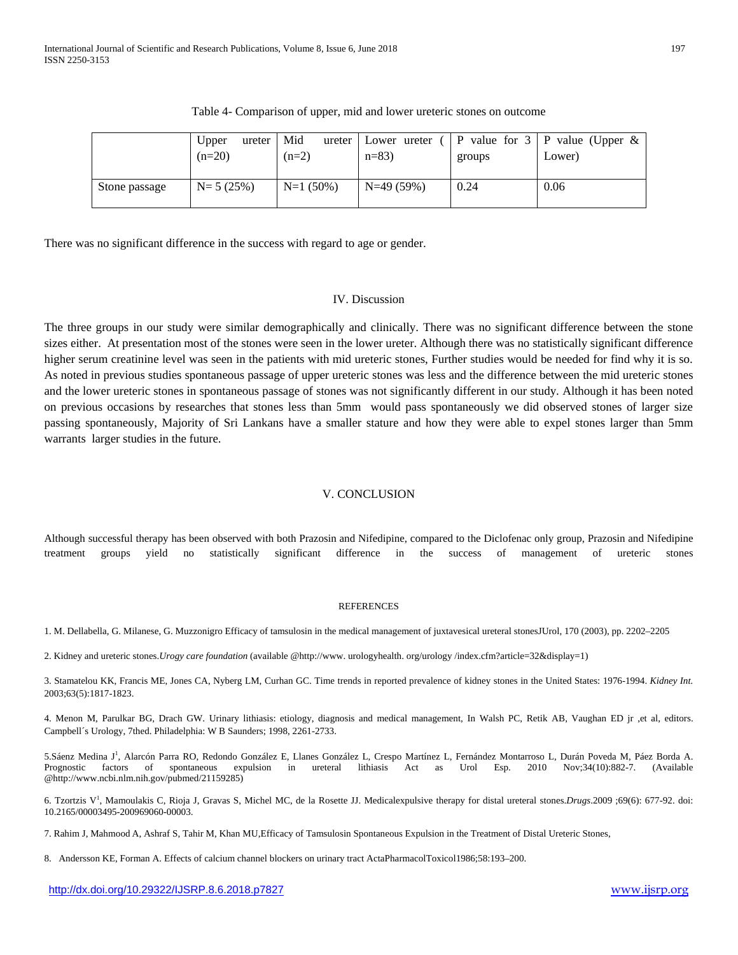|               | Upper<br>ureter<br>$(n=20)$ | Mid<br>$(n=2)$ | ureter Lower ureter<br>$n=83$ | groups | P value for $3   P$ value (Upper &<br>Lower) |
|---------------|-----------------------------|----------------|-------------------------------|--------|----------------------------------------------|
| Stone passage | $N = 5(25%)$                | $N=1$ (50%)    | $N=49(59%)$                   | 0.24   | 0.06                                         |

| Table 4- Comparison of upper, mid and lower ureteric stones on outcome |  |  |  |  |  |
|------------------------------------------------------------------------|--|--|--|--|--|
|------------------------------------------------------------------------|--|--|--|--|--|

There was no significant difference in the success with regard to age or gender.

## IV. Discussion

The three groups in our study were similar demographically and clinically. There was no significant difference between the stone sizes either. At presentation most of the stones were seen in the lower ureter. Although there was no statistically significant difference higher serum creatinine level was seen in the patients with mid ureteric stones, Further studies would be needed for find why it is so. As noted in previous studies spontaneous passage of upper ureteric stones was less and the difference between the mid ureteric stones and the lower ureteric stones in spontaneous passage of stones was not significantly different in our study. Although it has been noted on previous occasions by researches that stones less than 5mm would pass spontaneously we did observed stones of larger size passing spontaneously, Majority of Sri Lankans have a smaller stature and how they were able to expel stones larger than 5mm warrants larger studies in the future.

## V. CONCLUSION

Although successful therapy has been observed with both Prazosin and Nifedipine, compared to the Diclofenac only group, Prazosin and Nifedipine treatment groups yield no statistically significant difference in the success of management of ureteric stones

### **REFERENCES**

1. M. Dellabella, G. Milanese, G. Muzzonigro Efficacy of tamsulosin in the medical management of juxtavesical ureteral stonesJUrol, 170 (2003), pp. 2202–2205

2. Kidney and ureteric stones.*Urogy care foundation* (available @http://www. urologyhealth. org/urology /index.cfm?article=32&display=1)

3. Stamatelou KK, Francis ME, Jones CA, Nyberg LM, Curhan GC. Time trends in reported prevalence of kidney stones in the United States: 1976-1994. *Kidney Int.* 2003;63(5):1817-1823.

4. Menon M, Parulkar BG, Drach GW. Urinary lithiasis: etiology, diagnosis and medical management, In Walsh PC, Retik AB, Vaughan ED jr ,et al, editors. Campbell´s Urology, 7thed. Philadelphia: W B Saunders; 1998, 2261-2733.

[5.Sáenz Medina J](http://www.ncbi.nlm.nih.gov/pubmed?term=S%C3%A1enz%20Medina%20J%5BAuthor%5D&cauthor=true&cauthor_uid=21159285)<sup>1</sup>, [Alarcón Parra RO,](http://www.ncbi.nlm.nih.gov/pubmed?term=Alarc%C3%B3n%20Parra%20RO%5BAuthor%5D&cauthor=true&cauthor_uid=21159285) [Redondo González E,](http://www.ncbi.nlm.nih.gov/pubmed?term=Redondo%20Gonz%C3%A1lez%20E%5BAuthor%5D&cauthor=true&cauthor_uid=21159285) [Llanes González L,](http://www.ncbi.nlm.nih.gov/pubmed?term=Llanes%20Gonz%C3%A1lez%20L%5BAuthor%5D&cauthor=true&cauthor_uid=21159285) [Crespo Martínez L,](http://www.ncbi.nlm.nih.gov/pubmed?term=Crespo%20Mart%C3%ADnez%20L%5BAuthor%5D&cauthor=true&cauthor_uid=21159285) [Fernández Montarroso L,](http://www.ncbi.nlm.nih.gov/pubmed?term=Fern%C3%A1ndez%20Montarroso%20L%5BAuthor%5D&cauthor=true&cauthor_uid=21159285) [Durán Poveda M,](http://www.ncbi.nlm.nih.gov/pubmed?term=Dur%C3%A1n%20Poveda%20M%5BAuthor%5D&cauthor=true&cauthor_uid=21159285) Páez Borda A. Prognostic factors of spontaneous expulsion in ureteral lithiasis Act as [Urol Esp.](http://www.ncbi.nlm.nih.gov/pubmed/21159285) 2010 Nov;34(10):882-7. (Available @http://www.ncbi.nlm.nih.gov/pubmed/21159285)

6. [Tzortzis V1](http://www.ncbi.nlm.nih.gov/pubmed?term=Tzortzis%20V%5BAuthor%5D&cauthor=true&cauthor_uid=19405549) , [Mamoulakis C,](http://www.ncbi.nlm.nih.gov/pubmed?term=Mamoulakis%20C%5BAuthor%5D&cauthor=true&cauthor_uid=19405549) [Rioja J,](http://www.ncbi.nlm.nih.gov/pubmed?term=Rioja%20J%5BAuthor%5D&cauthor=true&cauthor_uid=19405549) [Gravas S,](http://www.ncbi.nlm.nih.gov/pubmed?term=Gravas%20S%5BAuthor%5D&cauthor=true&cauthor_uid=19405549) [Michel MC,](http://www.ncbi.nlm.nih.gov/pubmed?term=Michel%20MC%5BAuthor%5D&cauthor=true&cauthor_uid=19405549) [de la Rosette JJ.](http://www.ncbi.nlm.nih.gov/pubmed?term=de%20la%20Rosette%20JJ%5BAuthor%5D&cauthor=true&cauthor_uid=19405549) Medicalexpulsive therapy for distal ureteral stones.*[Drugs](http://www.ncbi.nlm.nih.gov/pubmed/19405549)*.2009 ;69(6): 677-92. doi: 10.2165/00003495-200969060-00003.

7. Rahim J, Mahmood A, Ashraf S, Tahir M, Khan MU,Efficacy of Tamsulosin Spontaneous Expulsion in the Treatment of Distal Ureteric Stones,

8. Andersson KE, Forman A. Effects of calcium channel blockers on urinary tract ActaPharmacolToxicol1986;58:193–200.